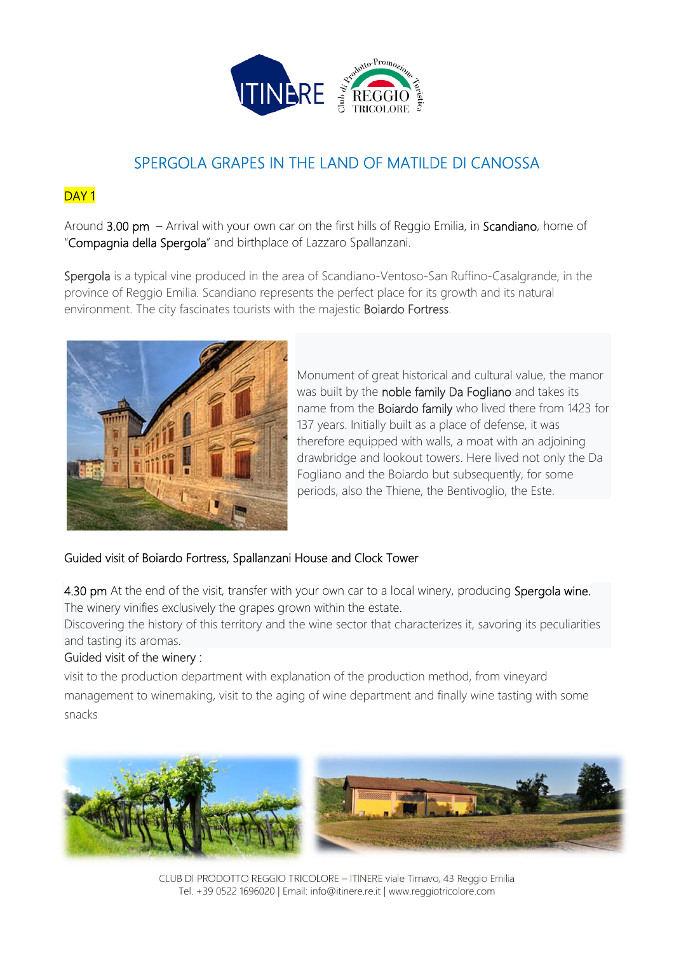

# SPERGOLA GRAPES IN THE LAND OF MATILDE DI CANOSSA

## DAY<sub>1</sub>

Around 3.00 pm – Arrival with your own car on the first hills of Reggio Emilia, in Scandiano, home of "Compagnia della Spergola" and birthplace of Lazzaro Spallanzani.

Spergola is a typical vine produced in the area of Scandiano-Ventoso-San Ruffino-Casalgrande, in the province of Reggio Emilia. Scandiano represents the perfect place for its growth and its natural environment. The city fascinates tourists with the majestic Boiardo Fortress.



Monument of great historical and cultural value, the manor was built by the noble family Da Fogliano and takes its name from the Boiardo family who lived there from 1423 for 137 years. Initially built as a place of defense, it was therefore equipped with walls, a moat with an adjoining drawbridge and lookout towers. Here lived not only the Da Fogliano and the Boiardo but subsequently, for some periods, also the Thiene, the Bentivoglio, the Este.

## Guided visit of Boiardo Fortress, Spallanzani House and Clock Tower

4.30 pm At the end of the visit, transfer with your own car to a local winery, producing Spergola wine. The winery vinifies exclusively the grapes grown within the estate.

Discovering the history of this territory and the wine sector that characterizes it, savoring its peculiarities and tasting its aromas.

## Guided visit of the winery :

visit to the production department with explanation of the production method, from vineyard management to winemaking, visit to the aging of wine department and finally wine tasting with some snacks



CLUB DI PRODOTTO REGGIO TRICOLORE – ITINERE viale Timavo, 43 Reggio Emilia Tel. +39 0522 1696020 | Email: info@itinere.re.it | www.reggiotricolore.com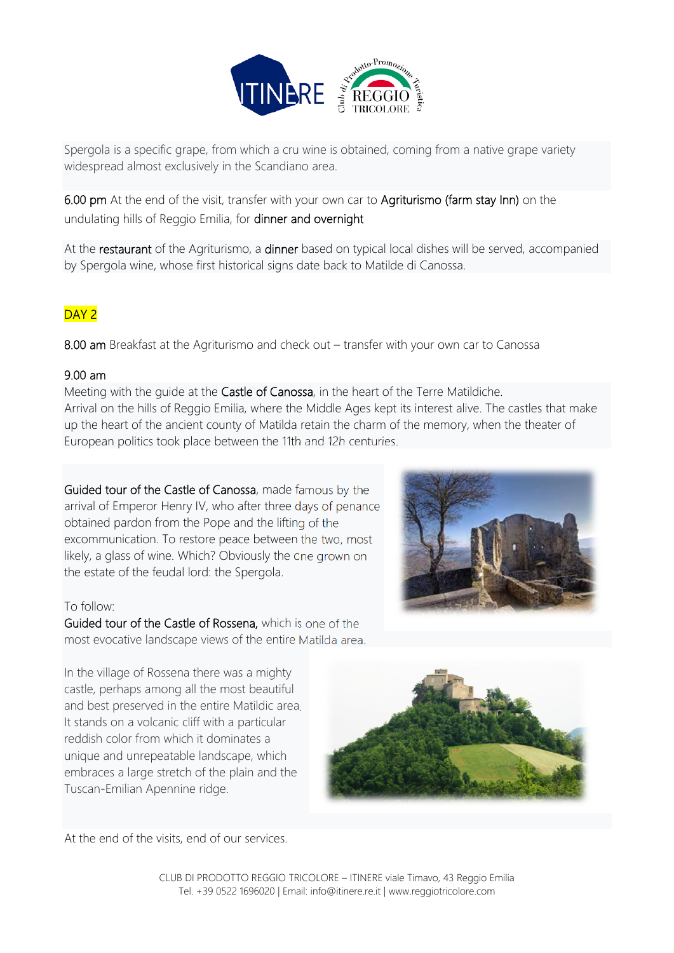

Spergola is a specific grape, from which a cru wine is obtained, coming from a native grape variety widespread almost exclusively in the Scandiano area.

6.00 pm At the end of the visit, transfer with your own car to Agriturismo (farm stay Inn) on the undulating hills of Reggio Emilia, for dinner and overnight

At the restaurant of the Agriturismo, a dinner based on typical local dishes will be served, accompanied by Spergola wine, whose first historical signs date back to Matilde di Canossa.

## DAY<sub>2</sub>

8.00 am Breakfast at the Agriturismo and check out – transfer with your own car to Canossa

## 9.00 am

Meeting with the guide at the Castle of Canossa, in the heart of the Terre Matildiche. Arrival on the hills of Reggio Emilia, where the Middle Ages kept its interest alive. The castles that make up the heart of the ancient county of Matilda retain the charm of the memory, when the theater of European politics took place between the 11th and 12h centuries.

Guided tour of the Castle of Canossa, made famous by the arrival of Emperor Henry IV, who after three days of penance obtained pardon from the Pope and the lifting of the excommunication. To restore peace between the two, most likely, a glass of wine. Which? Obviously the one grown on the estate of the feudal lord: the Spergola.

#### To follow:

Guided tour of the Castle of Rossena, which is one of the most evocative landscape views of the entire Matilda area.

In the village of Rossena there was a mighty castle, perhaps among all the most beautiful and best preserved in the entire Matildic area. It stands on a volcanic cliff with a particular reddish color from which it dominates a unique and unrepeatable landscape, which embraces a large stretch of the plain and the Tuscan-Emilian Apennine ridge.



At the end of the visits, end of our services.